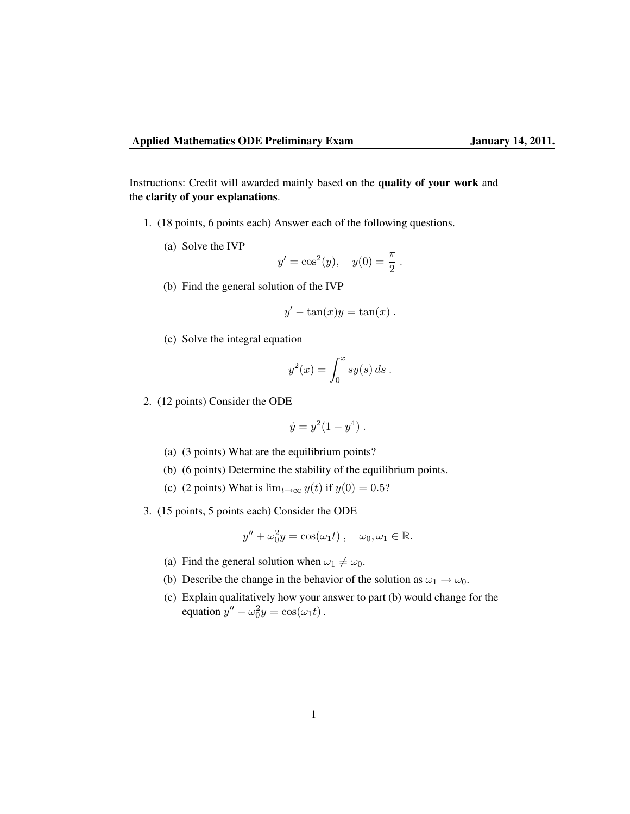Instructions: Credit will awarded mainly based on the quality of your work and the clarity of your explanations.

- 1. (18 points, 6 points each) Answer each of the following questions.
	- (a) Solve the IVP

$$
y' = \cos^2(y)
$$
,  $y(0) = \frac{\pi}{2}$ .

(b) Find the general solution of the IVP

$$
y' - \tan(x)y = \tan(x) .
$$

(c) Solve the integral equation

$$
y^2(x) = \int_0^x sy(s) \, ds \; .
$$

2. (12 points) Consider the ODE

$$
\dot{y} = y^2(1 - y^4)
$$
.

- (a) (3 points) What are the equilibrium points?
- (b) (6 points) Determine the stability of the equilibrium points.
- (c) (2 points) What is  $\lim_{t\to\infty} y(t)$  if  $y(0) = 0.5$ ?
- 3. (15 points, 5 points each) Consider the ODE

$$
y'' + \omega_0^2 y = \cos(\omega_1 t), \quad \omega_0, \omega_1 \in \mathbb{R}.
$$

- (a) Find the general solution when  $\omega_1 \neq \omega_0$ .
- (b) Describe the change in the behavior of the solution as  $\omega_1 \rightarrow \omega_0$ .
- (c) Explain qualitatively how your answer to part (b) would change for the equation  $y'' - \omega_0^2 y = \cos(\omega_1 t)$ .